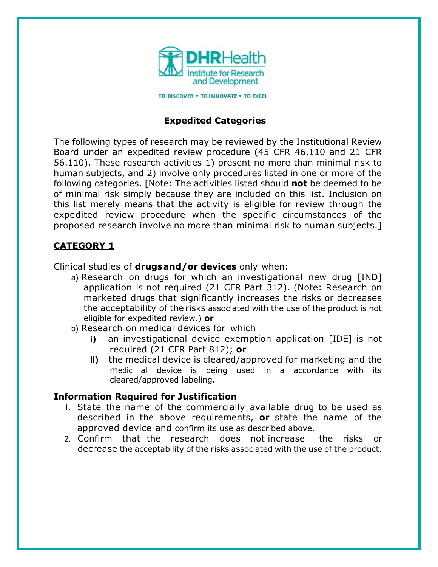

TO DISCOVER . TO INNOVATE . TO EXCEL

#### **Expedited Categories**

The following types of research may be reviewed by the Institutional Review Board under an expedited review procedure (45 CFR 46.110 and 21 CFR 56.110). These research activities 1) present no more than minimal risk to human subjects, and 2) involve only procedures listed in one or more of the following categories. [Note: The activities listed should **not** be deemed to be of minimal risk simply because they are included on this list. Inclusion on this list merely means that the activity is eligible for review through the expedited review procedure when the specific circumstances of the proposed research involve no more than minimal risk to human subjects.]

#### **CATEGORY 1**

Clinical studies of **drugsand/or devices** only when:

- a) Research on drugs for which an investigational new drug [IND] application is not required (21 CFR Part 312). (Note: Research on marketed drugs that significantly increases the risks or decreases the acceptability of the risks associated with the use of the product is not eligible for expedited review.) **or**
- b) Research on medical devices for which
	- **i)** an investigational device exemption application [IDE] is not required (21 CFR Part 812); **or**
	- **ii)** the medical device is cleared/approved for marketing and the medic al device is being used in a accordance with its cleared/approved labeling.

#### **Information Required for Justification**

- 1. State the name of the commercially available drug to be used as described in the above requirements, **or** state the name of the approved device and confirm its use as described above.
- 2. Confirm that the research does not increase the risks or decrease the acceptability of the risks associated with the use of the product.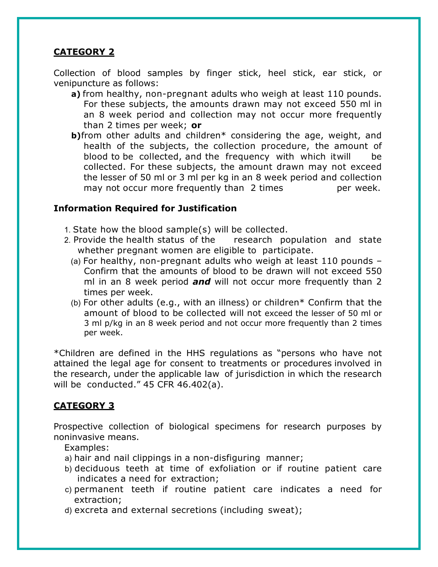## **CATEGORY 2**

Collection of blood samples by finger stick, heel stick, ear stick, or venipuncture as follows:

- **a)** from healthy, non-pregnant adults who weigh at least 110 pounds. For these subjects, the amounts drawn may not exceed 550 ml in an 8 week period and collection may not occur more frequently than 2 times per week; **or**
- **b)**from other adults and children\* considering the age, weight, and health of the subjects, the collection procedure, the amount of blood to be collected, and the frequency with which itwill be collected. For these subjects, the amount drawn may not exceed the lesser of 50 ml or 3 ml per kg in an 8 week period and collection may not occur more frequently than 2 times entitled been week.

#### **Information Required for Justification**

- 1. State how the blood sample(s) will be collected.
- 2. Provide the health status of the research population and state whether pregnant women are eligible to participate.
	- (a) For healthy, non-pregnant adults who weigh at least 110 pounds Confirm that the amounts of blood to be drawn will not exceed 550 ml in an 8 week period *and* will not occur more frequently than 2 times per week.
	- (b) For other adults (e.g., with an illness) or children\* Confirm that the amount of blood to be collected will not exceed the lesser of 50 ml or 3 ml p/kg in an 8 week period and not occur more frequently than 2 times per week.

\*Children are defined in the HHS regulations as "persons who have not attained the legal age for consent to treatments or procedures involved in the research, under the applicable law of jurisdiction in which the research will be conducted." 45 CFR 46.402(a).

## **CATEGORY 3**

Prospective collection of biological specimens for research purposes by noninvasive means.

Examples:

- a) hair and nail clippings in a non-disfiguring manner;
- b) deciduous teeth at time of exfoliation or if routine patient care indicates a need for extraction;
- c) permanent teeth if routine patient care indicates a need for extraction;
- d) excreta and external secretions (including sweat);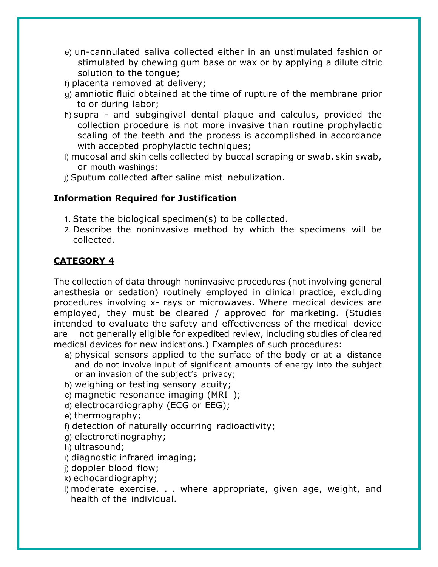e) un-cannulated saliva collected either in an unstimulated fashion or stimulated by chewing gum base or wax or by applying a dilute citric solution to the tongue;

f) placenta removed at delivery;

- g) amniotic fluid obtained at the time of rupture of the membrane prior to or during labor;
- h) supra and subgingival dental plaque and calculus, provided the collection procedure is not more invasive than routine prophylactic scaling of the teeth and the process is accomplished in accordance with accepted prophylactic techniques;
- i) mucosal and skin cells collected by buccal scraping or swab, skin swab, or mouth washings;
- j) Sputum collected after saline mist nebulization.

# **Information Required for Justification**

- 1. State the biological specimen(s) to be collected.
- 2. Describe the noninvasive method by which the specimens will be collected.

# **CATEGORY 4**

The collection of data through noninvasive procedures (not involving general anesthesia or sedation) routinely employed in clinical practice, excluding procedures involving x- rays or microwaves. Where medical devices are employed, they must be cleared / approved for marketing. (Studies intended to evaluate the safety and effectiveness of the medical device are not generally eligible for expedited review, including studies of cleared medical devices for new indications.) Examples of such procedures:

a) physical sensors applied to the surface of the body or at a distance and do not involve input of significant amounts of energy into the subject or an invasion of the subject's privacy;

b) weighing or testing sensory acuity;

c) magnetic resonance imaging (MRI );

d) electrocardiography (ECG or EEG);

- e) thermography;
- f) detection of naturally occurring radioactivity;
- g) electroretinography;

h) ultrasound;

i) diagnostic infrared imaging;

- j) doppler blood flow;
- k) echocardiography;
- l) moderate exercise. . . where appropriate, given age, weight, and health of the individual.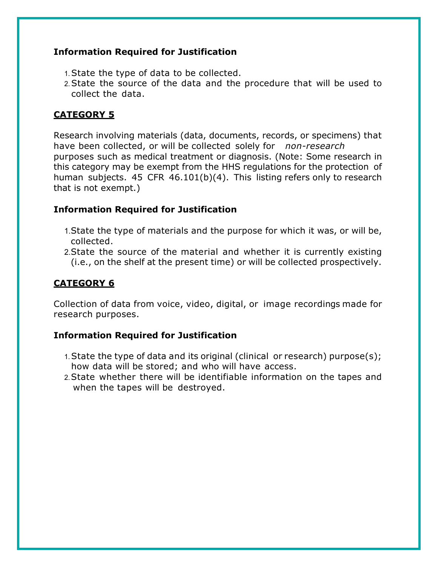#### **Information Required for Justification**

- 1.State the type of data to be collected.
- 2.State the source of the data and the procedure that will be used to collect the data.

# **CATEGORY 5**

Research involving materials (data, documents, records, or specimens) that have been collected, or will be collected solely for *non-research*  purposes such as medical treatment or diagnosis. (Note: Some research in this category may be exempt from the HHS regulations for the protection of human subjects. 45 CFR 46.101(b)(4). This listing refers only to research that is not exempt.)

# **Information Required for Justification**

- 1.State the type of materials and the purpose for which it was, or will be, collected.
- 2.State the source of the material and whether it is currently existing (i.e., on the shelf at the present time) or will be collected prospectively.

# **CATEGORY 6**

Collection of data from voice, video, digital, or image recordings made for research purposes.

## **Information Required for Justification**

- 1.State the type of data and its original (clinical or research) purpose(s); how data will be stored; and who will have access.
- 2.State whether there will be identifiable information on the tapes and when the tapes will be destroyed.